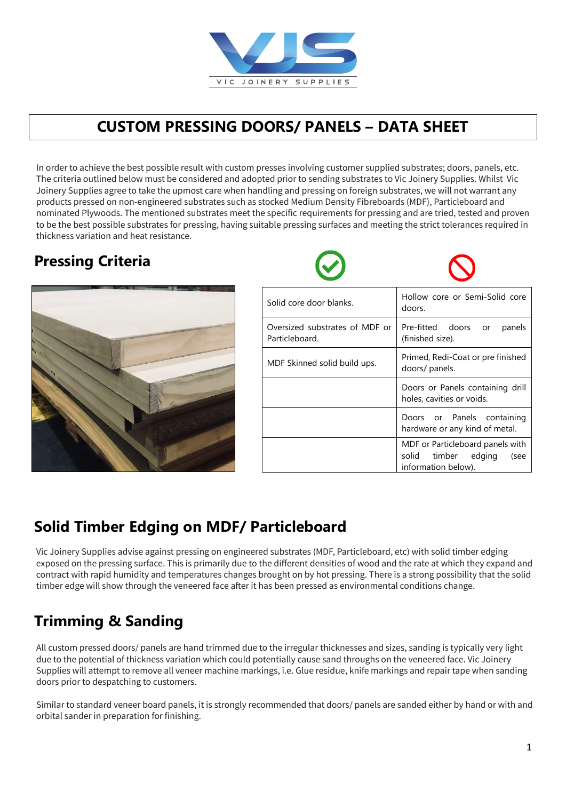

#### **CUSTOM PRESSING DOORS/ PANELS – DATA SHEET**

In order to achieve the best possible result with custom presses involving customer supplied substrates; doors, panels, etc. The criteria outlined below must be considered and adopted prior to sending substrates to Vic Joinery Supplies. Whilst Vic Joinery Supplies agree to take the upmost care when handling and pressing on foreign substrates, we will not warrant any products pressed on non-engineered substrates such as stocked Medium Density Fibreboards (MDF), Particleboard and<br> to be the best possible substrates for pressing, having suitable pressing surfaces and meeting the strict tolerances required in thickness variation and heat resistance. nominated Plywoods. The mentioned substrates meet the specific requirements for pressing and are tried, tested and proven

## **Pressing Criteria**



| Solid core door blanks.                          | Hollow core or Semi-Solid core<br>doors.                                               |
|--------------------------------------------------|----------------------------------------------------------------------------------------|
| Oversized substrates of MDF or<br>Particleboard. | Pre-fitted doors or<br>panels<br>(finished size).                                      |
| MDF Skinned solid build ups.                     | Primed, Redi-Coat or pre finished<br>doors/ panels.                                    |
|                                                  | Doors or Panels containing drill<br>holes, cavities or voids.                          |
|                                                  | Doors or Panels containing<br>hardware or any kind of metal.                           |
|                                                  | MDF or Particleboard panels with<br>solid timber edging<br>(see<br>information below). |

#### **Solid Timber Edging on MDF/ Particleboard**

Vic Joinery Supplies advise against pressing on engineered substrates (MDF, Particleboard, etc) with solid timber edging exposed on the pressing surface. This is primarily due to the different densities of wood and the rate at which they expand and  $\overline{\phantom{a}}$ timber edge will show through the veneered face after it has been pressed as environmental conditions change.  $\frac{1}{\sqrt{2}}$  through the veneered as environmental conditions change. contract with rapid humidity and temperatures changes brought on by hot pressing. There is a strong possibility that the solid

## **Trimming & Sanding**

All custom pressed doors/ panels are hand trimmed due to the irregular thicknesses and sizes, sanding is typically very light due to the potential of thickness variation which could potentially cause sand throughs on the veneered face. Vic Joinery Supplies will attempt to remove all veneer machine markings, i.e. Glue residue, knife markings and repair tape when sanding doors prior to despatching to customers.

orbital sander in preparation for finishing. The strongly recommended that doors are sanded either by hand or with and or with and or with an orbital sander in preparation for finishing. Similar to standard veneer board panels, it is strongly recommended that doors/ panels are sanded either by hand or with and